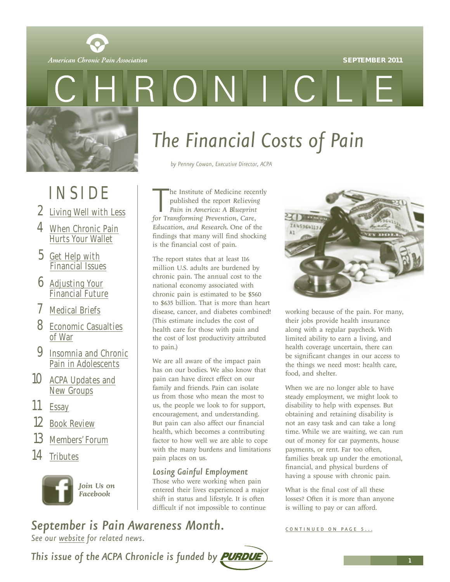#### **SEPTEMBER 2011**



# RONIC

## INSIDE

- 2 [Living Well with Less](#page-1-0)
- 4 [When Chronic Pain](#page-3-0) Hurts Your Wallet
- 5 Get Help with [Financial Issues](#page-4-0)
- 6 Adjusting Your [Financial Future](#page-5-0)
- 7 [Medical Briefs](#page-6-0)
- 8 [Economic Casualties](#page-7-0) of War
- 9 Insomnia and Chronic Pain in Adolescents
- 10 ACPA Updates and New Groups
- 11 Essay
- 12 Book Review
- 13 Members' Forum
- 14 Tributes



*Join Us on Facebook*

# *The Financial Costs of Pain*

*by Penney Cowan, Executive Director, ACPA*

**Forming the Institute of Medicine rece**<br>
published the report Relievin<br>
Pain in America: A Blueprint<br>
for Transforming Prevention, Care, he Institute of Medicine recently published the report *Relieving Pain in America: A Blueprint Education, and Research*. One of the findings that many will find shocking is the financial cost of pain.

The report states that at least 116 million U.S. adults are burdened by chronic pain. The annual cost to the national economy associated with chronic pain is estimated to be \$560 to \$635 billion. That is more than heart disease, cancer, and diabetes combined! (This estimate includes the cost of health care for those with pain and the cost of lost productivity attributed to pain.)

We are all aware of the impact pain has on our bodies. We also know that pain can have direct effect on our family and friends. Pain can isolate us from those who mean the most to us, the people we look to for support, encouragement, and understanding. But pain can also affect our financial health, which becomes a contributing factor to how well we are able to cope with the many burdens and limitations pain places on us.

#### *Losing Gainful Employment*

Those who were working when pain entered their lives experienced a major shift in status and lifestyle. It is often difficult if not impossible to continue

working because of the pain. For many, their jobs provide health insurance along with a regular paycheck. With limited ability to earn a living, and health coverage uncertain, there can be significant changes in our access to the things we need most: health care, food, and shelter.

When we are no longer able to have steady employment, we might look to disability to help with expenses. But obtaining and retaining disability is not an easy task and can take a long time. While we are waiting, we can run out of money for car payments, house payments, or rent. Far too often, families break up under the emotional, financial, and physical burdens of having a spouse with chronic pain.

What is the final cost of all these losses? Often it is more than anyone is willing to pay or can afford.

**September is Pain Awareness Month. CONTINUED ON PAGE 5...** 

*See our website for related news.*

This issue of the ACPA Chronicle is funded by **PURDU** 

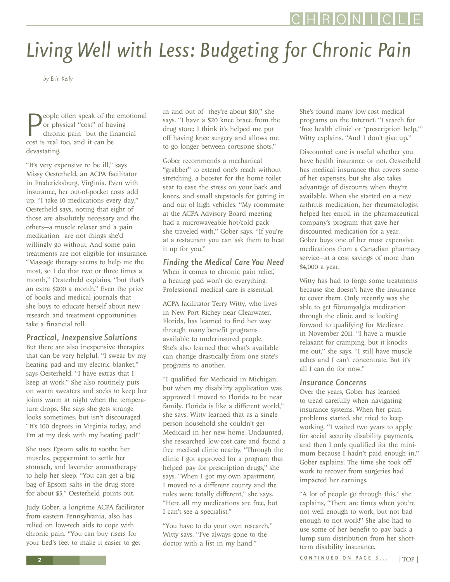# <span id="page-1-0"></span>*Living Well with Less: Budgeting for Chronic Pain*

*by Erin Kelly*

**P**eople often speak of the<br>
or physical "cost" of have<br>
cost is real too, and it can be eople often speak of the emotional or physical "cost" of having chronic pain—but the financial devastating.

"It's very expensive to be ill," says Missy Oesterheld, an ACPA facilitator in Fredericksburg, Virginia. Even with insurance, her out-of-pocket costs add up. "I take 10 medications every day," Oesterheld says, noting that eight of those are absolutely necessary and the others—a muscle relaxer and a pain medication—are not things she'd willingly go without. And some pain treatments are not eligible for insurance. "Massage therapy seems to help me the most, so I do that two or three times a month," Oesterheld explains, "but that's an extra \$200 a month." Even the price of books and medical journals that she buys to educate herself about new research and treatment opportunities take a financial toll.

#### *Practical, Inexpensive Solutions*

But there are also inexpensive therapies that can be very helpful. "I swear by my heating pad and my electric blanket," says Oesterheld. "I have extras that I keep at work." She also routinely puts on warm sweaters and socks to keep her joints warm at night when the temperature drops. She says she gets strange looks sometimes, but isn't discouraged. "It's 100 degrees in Virginia today, and I'm at my desk with my heating pad!"

She uses Epsom salts to soothe her muscles, peppermint to settle her stomach, and lavender aromatherapy to help her sleep. "You can get a big bag of Epsom salts in the drug store for about \$5," Oesterheld points out.

Judy Gober, a longtime ACPA facilitator from eastern Pennsylvania, also has relied on low-tech aids to cope with chronic pain. "You can buy risers for your bed's feet to make it easier to get

in and out of—they're about \$10," she says. "I have a \$20 knee brace from the drug store; I think it's helped me put off having knee surgery and allows me to go longer between cortisone shots."

Gober recommends a mechanical "grabber" to extend one's reach without stretching, a booster for the home toilet seat to ease the stress on your back and knees, and small stepstools for getting in and out of high vehicles. "My roommate at the ACPA Advisory Board meeting had a microwaveable hot/cold pack she traveled with," Gober says. "If you're at a restaurant you can ask them to heat it up for you."

#### *Finding the Medical Care You Need*

When it comes to chronic pain relief, a heating pad won't do everything. Professional medical care is essential.

ACPA facilitator Terry Witty, who lives in New Port Richey near Clearwater, Florida, has learned to find her way through many benefit programs available to underinsured people. She's also learned that what's available can change drastically from one state's programs to another.

"I qualified for Medicaid in Michigan, but when my disability application was approved I moved to Florida to be near family. Florida is like a different world," she says. Witty learned that as a singleperson household she couldn't get Medicaid in her new home. Undaunted, she researched low-cost care and found a free medical clinic nearby. "Through the clinic I got approved for a program that helped pay for prescription drugs," she says. "When I got my own apartment, I moved to a different county and the rules were totally different," she says. "Here all my medications are free, but I can't see a specialist."

"You have to do your own research," Witty says. "I've always gone to the doctor with a list in my hand."

She's found many low-cost medical programs on the Internet. "I search for 'free health clinic' or 'prescription help,'" Witty explains. "And I don't give up."

Discounted care is useful whether you have health insurance or not. Oesterheld has medical insurance that covers some of her expenses, but she also takes advantage of discounts when they're available. When she started on a new arthritis medication, her rheumatologist helped her enroll in the pharmaceutical company's program that gave her discounted medication for a year. Gober buys one of her most expensive medications from a Canadian pharmacy service—at a cost savings of more than \$4,000 a year.

Witty has had to forgo some treatments because she doesn't have the insurance to cover them. Only recently was she able to get fibromyalgia medication through the clinic and is looking forward to qualifying for Medicare in November 2011. "I have a muscle relaxant for cramping, but it knocks me out," she says. "I still have muscle aches and I can't concentrate. But it's all I can do for now."

#### *Insurance Concerns*

Over the years, Gober has learned to tread carefully when navigating insurance systems. When her pain problems started, she tried to keep working. "I waited two years to apply for social security disability payments, and then I only qualified for the minimum because I hadn't paid enough in," Gober explains. The time she took off work to recover from surgeries had impacted her earnings.

"A lot of people go through this," she explains, "There are times when you're not well enough to work, but not bad enough to not work!" She also had to use some of her benefit to pay back a lump sum distribution from her shortterm disability insurance.

CONTINUED ON PAGE 3... | TOP |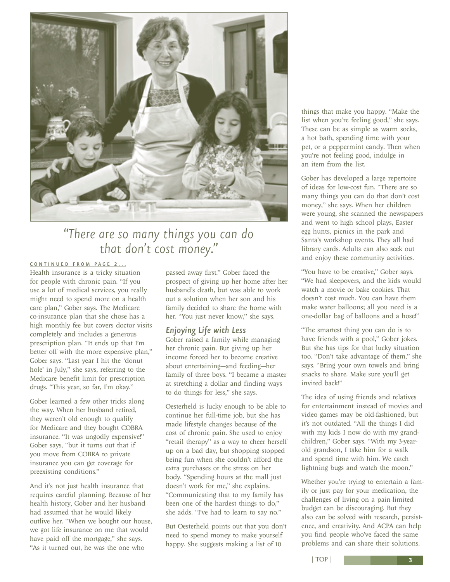

## *"There are so many things you can do that don't cost money."*

#### CONTINUED FROM PAGE 2...

Health insurance is a tricky situation for people with chronic pain. "If you use a lot of medical services, you really might need to spend more on a health care plan," Gober says. The Medicare co-insurance plan that she chose has a high monthly fee but covers doctor visits completely and includes a generous prescription plan. "It ends up that I'm better off with the more expensive plan," Gober says. "Last year I hit the 'donut hole' in July," she says, referring to the Medicare benefit limit for prescription drugs. "This year, so far, I'm okay."

Gober learned a few other tricks along the way. When her husband retired, they weren't old enough to qualify for Medicare and they bought COBRA insurance. "It was ungodly expensive!" Gober says, "but it turns out that if you move from COBRA to private insurance you can get coverage for preexisting conditions."

And it's not just health insurance that requires careful planning. Because of her health history, Gober and her husband had assumed that he would likely outlive her. "When we bought our house, we got life insurance on me that would have paid off the mortgage," she says. "As it turned out, he was the one who

passed away first." Gober faced the prospect of giving up her home after her husband's death, but was able to work out a solution when her son and his family decided to share the home with her. "You just never know," she says.

#### *Enjoying Life with Less*

Gober raised a family while managing her chronic pain. But giving up her income forced her to become creative about entertaining—and feeding—her family of three boys. "I became a master at stretching a dollar and finding ways to do things for less," she says.

Oesterheld is lucky enough to be able to continue her full-time job, but she has made lifestyle changes because of the cost of chronic pain. She used to enjoy "retail therapy" as a way to cheer herself up on a bad day, but shopping stopped being fun when she couldn't afford the extra purchases or the stress on her body. "Spending hours at the mall just doesn't work for me," she explains. "Communicating that to my family has been one of the hardest things to do," she adds. "I've had to learn to say no."

But Oesterheld points out that you don't need to spend money to make yourself happy. She suggests making a list of 10

things that make you happy. "Make the list when you're feeling good," she says. These can be as simple as warm socks, a hot bath, spending time with your pet, or a peppermint candy. Then when you're not feeling good, indulge in an item from the list.

Gober has developed a large repertoire of ideas for low-cost fun. "There are so many things you can do that don't cost money," she says. When her children were young, she scanned the newspapers and went to high school plays, Easter egg hunts, picnics in the park and Santa's workshop events. They all had library cards. Adults can also seek out and enjoy these community activities.

"You have to be creative," Gober says. "We had sleepovers, and the kids would watch a movie or bake cookies. That doesn't cost much. You can have them make water balloons; all you need is a one-dollar bag of balloons and a hose!"

"The smartest thing you can do is to have friends with a pool," Gober jokes. But she has tips for that lucky situation too. "Don't take advantage of them," she says. "Bring your own towels and bring snacks to share. Make sure you'll get invited back!"

The idea of using friends and relatives for entertainment instead of movies and video games may be old-fashioned, but it's not outdated. "All the things I did with my kids I now do with my grandchildren," Gober says. "With my 3-yearold grandson, I take him for a walk and spend time with him. We catch lightning bugs and watch the moon."

Whether you're trying to entertain a family or just pay for your medication, the challenges of living on a pain-limited budget can be discouraging. But they also can be solved with research, persistence, and creativity. And ACPA can help you find people who've faced the same problems and can share their solutions.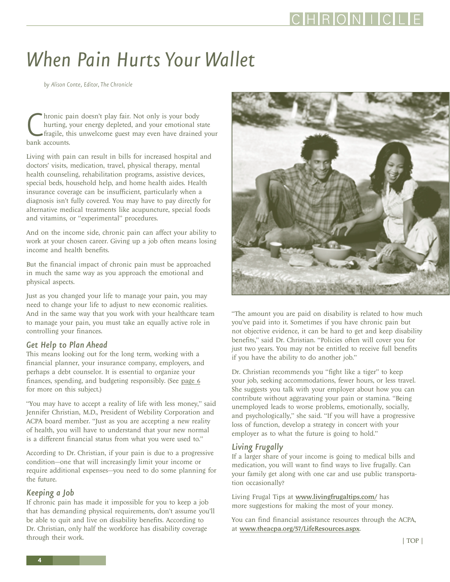## <span id="page-3-0"></span>*When Pain Hurts Your Wallet*

*by Alison Conte, Editor, The Chronicle*

Chronic p.<br>
hurting,<br>
fragile, the bank accounts. hronic pain doesn't play fair. Not only is your body hurting, your energy depleted, and your emotional state fragile, this unwelcome guest may even have drained your

Living with pain can result in bills for increased hospital and doctors' visits, medication, travel, physical therapy, mental health counseling, rehabilitation programs, assistive devices, special beds, household help, and home health aides. Health insurance coverage can be insufficient, particularly when a diagnosis isn't fully covered. You may have to pay directly for alternative medical treatments like acupuncture, special foods and vitamins, or "experimental" procedures.

And on the income side, chronic pain can affect your ability to work at your chosen career. Giving up a job often means losing income and health benefits.

But the financial impact of chronic pain must be approached in much the same way as you approach the emotional and physical aspects.

Just as you changed your life to manage your pain, you may need to change your life to adjust to new economic realities. And in the same way that you work with your healthcare team to manage your pain, you must take an equally active role in controlling your finances.

#### *Get Help to Plan Ahead*

This means looking out for the long term, working with a financial planner, your insurance company, employers, and perhaps a debt counselor. It is essential to organize your finances, spending, and budgeting responsibly. (See page 6 for more on this subject.)

"You may have to accept a reality of life with less money," said Jennifer Christian, M.D., President of Webility Corporation and ACPA board member. "Just as you are accepting a new reality of health, you will have to understand that your new normal is a different financial status from what you were used to."

According to Dr. Christian, if your pain is due to a progressive condition—one that will increasingly limit your income or require additional expenses—you need to do some planning for the future.

#### *Keeping a Job*

If chronic pain has made it impossible for you to keep a job that has demanding physical requirements, don't assume you'll be able to quit and live on disability benefits. According to Dr. Christian, only half the workforce has disability coverage through their work.



"The amount you are paid on disability is related to how much you've paid into it. Sometimes if you have chronic pain but not objective evidence, it can be hard to get and keep disability benefits," said Dr. Christian. "Policies often will cover you for just two years. You may not be entitled to receive full benefits if you have the ability to do another job."

Dr. Christian recommends you "fight like a tiger" to keep your job, seeking accommodations, fewer hours, or less travel. She suggests you talk with your employer about how you can contribute without aggravating your pain or stamina. "Being unemployed leads to worse problems, emotionally, socially, and psychologically," she said. "If you will have a progressive loss of function, develop a strategy in concert with your employer as to what the future is going to hold."

#### *Living Frugally*

If a larger share of your income is going to medical bills and medication, you will want to find ways to live frugally. Can your family get along with one car and use public transportation occasionally?

Living Frugal Tips at www.livingfrugaltips.com/ has more suggestions for making the most of your money.

You can find financial assistance resources through the ACPA, at www.theacpa.org/57/LifeResources.aspx.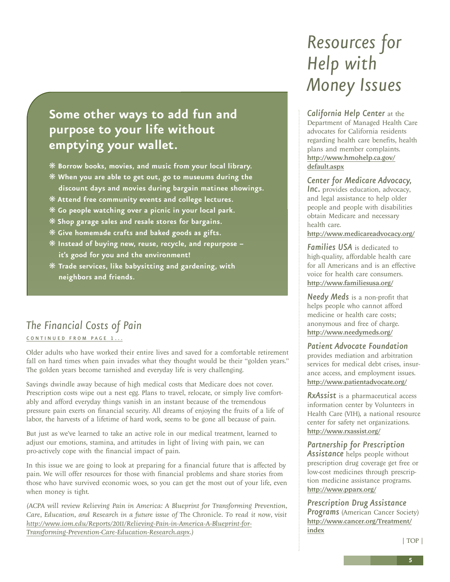## <span id="page-4-0"></span>**Some other ways to add fun and purpose to your life without emptying your wallet.**

- ❋ **Borrow books, movies, and music from your local library.**
- ❋ **When you are able to get out, go to museums during the discount days and movies during bargain matinee showings.**
- ❋ **Attend free community events and college lectures.**
- ❋ **Go people watching over a picnic in your local park.**
- ❋ **Shop garage sales and resale stores for bargains.**
- ❋ **Give homemade crafts and baked goods as gifts.**
- ❋ **Instead of buying new, reuse, recycle, and repurpose – it's good for you and the environment!**
- ❋ **Trade services, like babysitting and gardening, with neighbors and friends.**

### *The Financial Costs of Pain*

#### CONTINUED FROM PAGE 1...

Older adults who have worked their entire lives and saved for a comfortable retirement fall on hard times when pain invades what they thought would be their "golden years." The golden years become tarnished and everyday life is very challenging.

Savings dwindle away because of high medical costs that Medicare does not cover. Prescription costs wipe out a nest egg. Plans to travel, relocate, or simply live comfortably and afford everyday things vanish in an instant because of the tremendous pressure pain exerts on financial security. All dreams of enjoying the fruits of a life of labor, the harvests of a lifetime of hard work, seems to be gone all because of pain.

But just as we've learned to take an active role in our medical treatment, learned to adjust our emotions, stamina, and attitudes in light of living with pain, we can pro-actively cope with the financial impact of pain.

In this issue we are going to look at preparing for a financial future that is affected by pain. We will offer resources for those with financial problems and share stories from those who have survived economic woes, so you can get the most out of your life, even when money is tight.

*(ACPA will review Relieving Pain in America: A Blueprint for Transforming Prevention, Care, Education, and Research in a future issue of* The Chronicle*. To read it now, visit http://www.iom.edu/Reports/2011/Relieving-Pain-in-America-A-Blueprint-for-Transforming-Prevention-Care-Education-Research.aspx.)*

## *Resources for Help with Money Issues*

*California Help Center* at the Department of Managed Health Care advocates for California residents regarding health care benefits, health plans and member complaints. http://www.hmohelp.ca.gov/ default.aspx

*Center for Medicare Advocacy,* **Inc.** provides education, advocacy, and legal assistance to help older people and people with disabilities obtain Medicare and necessary health care.

http://www.medicareadvocacy.org/

*Families USA* is dedicated to high-quality, affordable health care for all Americans and is an effective voice for health care consumers. http://www.familiesusa.org/

*Needy Meds* is a non-profit that helps people who cannot afford medicine or health care costs; anonymous and free of charge. http://www.needymeds.org/

*Patient Advocate Foundation* provides mediation and arbitration services for medical debt crises, insurance access, and employment issues. http://www.patientadvocate.org/

*RxAssist* is a pharmaceutical access information center by Volunteers in Health Care (VIH), a national resource center for safety net organizations. http://www.rxassist.org/

*Partnership for Prescription Assistance* helps people without prescription drug coverage get free or low-cost medicines through prescription medicine assistance programs. http://www.pparx.org/

*Prescription Drug Assistance* **Programs** (American Cancer Society) http://www.cancer.org/Treatment/ index

| TOP |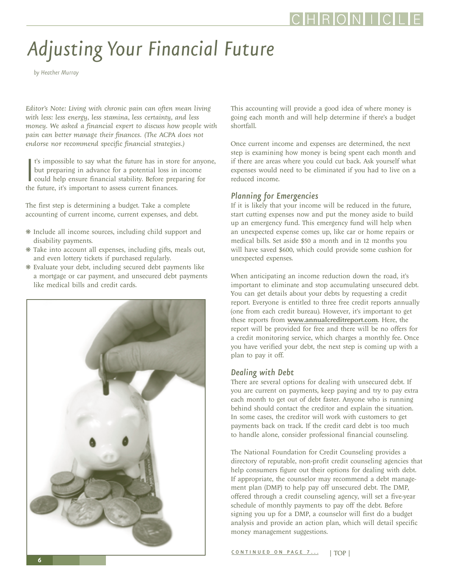# <span id="page-5-0"></span>*Adjusting Your Financial Future*

*by Heather Murray*

*Editor's Note: Living with chronic pain can often mean living with less: less energy, less stamina, less certainty, and less money. We asked a financial expert to discuss how people with pain can better manage their finances. (The ACPA does not endorse nor recommend specific financial strategies.)*

It's impossible to say what the future has in store<br>but preparing in advance for a potential loss in<br>could help ensure financial stability. Before prep<br>the future, it's important to assess current finances. t's impossible to say what the future has in store for anyone, but preparing in advance for a potential loss in income could help ensure financial stability. Before preparing for

The first step is determining a budget. Take a complete accounting of current income, current expenses, and debt.

- ❋ Include all income sources, including child support and disability payments.
- ❋ Take into account all expenses, including gifts, meals out, and even lottery tickets if purchased regularly.
- ❋ Evaluate your debt, including secured debt payments like a mortgage or car payment, and unsecured debt payments like medical bills and credit cards.



This accounting will provide a good idea of where money is going each month and will help determine if there's a budget shortfall.

Once current income and expenses are determined, the next step is examining how money is being spent each month and if there are areas where you could cut back. Ask yourself what expenses would need to be eliminated if you had to live on a reduced income.

#### *Planning for Emergencies*

If it is likely that your income will be reduced in the future, start cutting expenses now and put the money aside to build up an emergency fund. This emergency fund will help when an unexpected expense comes up, like car or home repairs or medical bills. Set aside \$50 a month and in 12 months you will have saved \$600, which could provide some cushion for unexpected expenses.

When anticipating an income reduction down the road, it's important to eliminate and stop accumulating unsecured debt. You can get details about your debts by requesting a credit report. Everyone is entitled to three free credit reports annually (one from each credit bureau). However, it's important to get these reports from www.annualcreditreport.com. Here, the report will be provided for free and there will be no offers for a credit monitoring service, which charges a monthly fee. Once you have verified your debt, the next step is coming up with a plan to pay it off.

#### *Dealing with Debt*

There are several options for dealing with unsecured debt. If you are current on payments, keep paying and try to pay extra each month to get out of debt faster. Anyone who is running behind should contact the creditor and explain the situation. In some cases, the creditor will work with customers to get payments back on track. If the credit card debt is too much to handle alone, consider professional financial counseling.

The National Foundation for Credit Counseling provides a directory of reputable, non-profit credit counseling agencies that help consumers figure out their options for dealing with debt. If appropriate, the counselor may recommend a debt management plan (DMP) to help pay off unsecured debt. The DMP, offered through a credit counseling agency, will set a five-year schedule of monthly payments to pay off the debt. Before signing you up for a DMP, a counselor will first do a budget analysis and provide an action plan, which will detail specific money management suggestions.

CONTINUED ON PAGE 7... | TOP |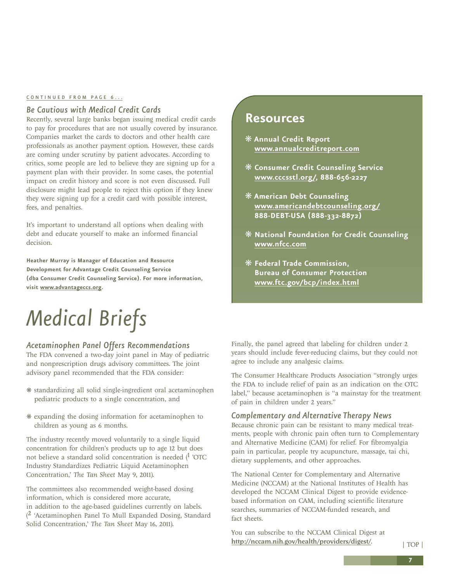#### <span id="page-6-0"></span>CONTINUED FROM PAGE 6...

#### *Be Cautious with Medical Credit Cards*

Recently, several large banks began issuing medical credit cards to pay for procedures that are not usually covered by insurance. Companies market the cards to doctors and other health care professionals as another payment option. However, these cards are coming under scrutiny by patient advocates. According to critics, some people are led to believe they are signing up for a payment plan with their provider. In some cases, the potential impact on credit history and score is not even discussed. Full disclosure might lead people to reject this option if they knew they were signing up for a credit card with possible interest, fees, and penalties.

It's important to understand all options when dealing with debt and educate yourself to make an informed financial decision.

**Heather Murray is Manager of Education and Resource Development for Advantage Credit Counseling Service (dba Consumer Credit Counseling Service). For more information, visit www.advantageccs.org.** 

# *Medical Briefs*

#### *Acetaminophen Panel Offers Recommendations*

The FDA convened a two-day joint panel in May of pediatric and nonprescription drugs advisory committees. The joint advisory panel recommended that the FDA consider:

- ❋ standardizing all solid single-ingredient oral acetaminophen pediatric products to a single concentration, and
- ❋ expanding the dosing information for acetaminophen to children as young as 6 months.

The industry recently moved voluntarily to a single liquid concentration for children's products up to age 12 but does not believe a standard solid concentration is needed  $(1 \cdot \text{OTC})$ Industry Standardizes Pediatric Liquid Acetaminophen Concentration,' *The Tan Sheet* May 9, 2011).

The committees also recommended weight-based dosing information, which is considered more accurate, in addition to the age-based guidelines currently on labels. ( 2 'Acetaminophen Panel To Mull Expanded Dosing, Standard Solid Concentration,' *The Tan Sheet* May 16, 2011).

#### **Resources**

- ❋ **Annual Credit Report www.annualcreditreport.com**
- ❋ **Consumer Credit Counseling Service www.cccsstl.org/, 888-656-2227**
- ❋ **American Debt Counseling www.americandebtcounseling.org/ 888-DEBT-USA (888-332-8872)**
- ❋ **National Foundation for Credit Counseling www.nfcc.com**
- ❋ **Federal Trade Commission, Bureau of Consumer Protection www.ftc.gov/bcp/index.html**

Finally, the panel agreed that labeling for children under 2 years should include fever-reducing claims, but they could not agree to include any analgesic claims.

The Consumer Healthcare Products Association "strongly urges the FDA to include relief of pain as an indication on the OTC label," because acetaminophen is "a mainstay for the treatment of pain in children under 2 years."

#### *Complementary and Alternative Therapy News*

Because chronic pain can be resistant to many medical treatments, people with chronic pain often turn to Complementary and Alternative Medicine (CAM) for relief. For fibromyalgia pain in particular, people try acupuncture, massage, tai chi, dietary supplements, and other approaches.

The National Center for Complementary and Alternative Medicine (NCCAM) at the National Institutes of Health has developed the NCCAM Clinical Digest to provide evidencebased information on CAM, including scientific literature searches, summaries of NCCAM-funded research, and fact sheets.

You can subscribe to the NCCAM Clinical Digest at http://nccam.nih.gov/health/providers/digest/.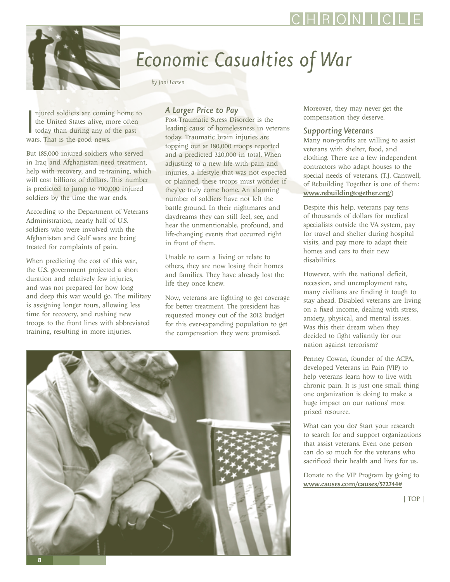<span id="page-7-0"></span>

## *Economic Casualties of War*

*by Jani Larsen*

njured soldiers are cominent the United States alive, m<br>today than during any of<br>wars. That is the good news. njured soldiers are coming home to the United States alive, more often today than during any of the past

But 185,000 injured soldiers who served in Iraq and Afghanistan need treatment, help with recovery, and re-training, which will cost billions of dollars. This number is predicted to jump to 700,000 injured soldiers by the time the war ends.

According to the Department of Veterans Administration, nearly half of U.S. soldiers who were involved with the Afghanistan and Gulf wars are being treated for complaints of pain.

When predicting the cost of this war, the U.S. government projected a short duration and relatively few injuries, and was not prepared for how long and deep this war would go. The military is assigning longer tours, allowing less time for recovery, and rushing new troops to the front lines with abbreviated training, resulting in more injuries.

#### *A Larger Price to Pay*

Post-Traumatic Stress Disorder is the leading cause of homelessness in veterans today. Traumatic brain injuries are topping out at 180,000 troops reported and a predicted 320,000 in total. When adjusting to a new life with pain and injuries, a lifestyle that was not expected or planned, these troops must wonder if they've truly come home. An alarming number of soldiers have not left the battle ground. In their nightmares and daydreams they can still feel, see, and hear the unmentionable, profound, and life-changing events that occurred right in front of them.

Unable to earn a living or relate to others, they are now losing their homes and families. They have already lost the life they once knew.

Now, veterans are fighting to get coverage for better treatment. The president has requested money out of the 2012 budget for this ever-expanding population to get the compensation they were promised.



Moreover, they may never get the compensation they deserve.

#### *Supporting Veterans*

Many non-profits are willing to assist veterans with shelter, food, and clothing. There are a few independent contractors who adapt houses to the special needs of veterans. (T.J. Cantwell, of Rebuilding Together is one of them: www.rebuildingtogether.org/)

Despite this help, veterans pay tens of thousands of dollars for medical specialists outside the VA system, pay for travel and shelter during hospital visits, and pay more to adapt their homes and cars to their new disabilities.

However, with the national deficit, recession, and unemployment rate, many civilians are finding it tough to stay ahead. Disabled veterans are living on a fixed income, dealing with stress, anxiety, physical, and mental issues. Was this their dream when they decided to fight valiantly for our nation against terrorism?

Penney Cowan, founder of the ACPA, developed Veterans in Pain (VIP) to help veterans learn how to live with chronic pain. It is just one small thing one organization is doing to make a huge impact on our nations' most prized resource.

What can you do? Start your research to search for and support organizations that assist veterans. Even one person can do so much for the veterans who sacrificed their health and lives for us.

Donate to the VIP Program by going to www.causes.com/causes/572744#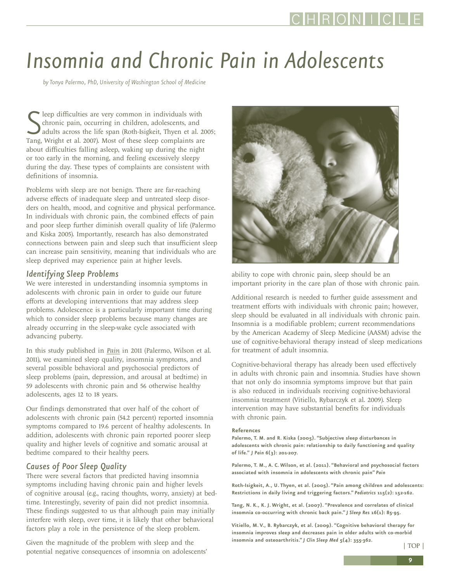# *Insomnia and Chronic Pain in Adolescents*

*by Tonya Palermo, PhD, University of Washington School of Medicine*

Seep difficulties are very common in individuals with<br>chronic pain, occurring in children, adolescents, and<br>adults across the life span (Roth-Isigkeit, Thyen et al. 20<br>Tang, Wright et al. 2007). Most of these sleep complai leep difficulties are very common in individuals with chronic pain, occurring in children, adolescents, and adults across the life span (Roth-Isigkeit, Thyen et al. 2005; about difficulties falling asleep, waking up during the night or too early in the morning, and feeling excessively sleepy during the day. These types of complaints are consistent with definitions of insomnia.

Problems with sleep are not benign. There are far-reaching adverse effects of inadequate sleep and untreated sleep disorders on health, mood, and cognitive and physical performance. In individuals with chronic pain, the combined effects of pain and poor sleep further diminish overall quality of life (Palermo and Kiska 2005). Importantly, research has also demonstrated connections between pain and sleep such that insufficient sleep can increase pain sensitivity, meaning that individuals who are sleep deprived may experience pain at higher levels.

#### *Identifying Sleep Problems*

We were interested in understanding insomnia symptoms in adolescents with chronic pain in order to guide our future efforts at developing interventions that may address sleep problems. Adolescence is a particularly important time during which to consider sleep problems because many changes are already occurring in the sleep-wake cycle associated with advancing puberty.

In this study published in *Pain* in 2011 (Palermo, Wilson et al. 2011), we examined sleep quality, insomnia symptoms, and several possible behavioral and psychosocial predictors of sleep problems (pain, depression, and arousal at bedtime) in 59 adolescents with chronic pain and 56 otherwise healthy adolescents, ages 12 to 18 years.

Our findings demonstrated that over half of the cohort of adolescents with chronic pain (54.2 percent) reported insomnia symptoms compared to 19.6 percent of healthy adolescents. In addition, adolescents with chronic pain reported poorer sleep quality and higher levels of cognitive and somatic arousal at bedtime compared to their healthy peers.

#### *Causes of Poor Sleep Quality*

There were several factors that predicted having insomnia symptoms including having chronic pain and higher levels of cognitive arousal (e.g., racing thoughts, worry, anxiety) at bedtime. Interestingly, severity of pain did not predict insomnia. These findings suggested to us that although pain may initially interfere with sleep, over time, it is likely that other behavioral factors play a role in the persistence of the sleep problem.

Given the magnitude of the problem with sleep and the potential negative consequences of insomnia on adolescents'



ability to cope with chronic pain, sleep should be an important priority in the care plan of those with chronic pain.

Additional research is needed to further guide assessment and treatment efforts with individuals with chronic pain; however, sleep should be evaluated in all individuals with chronic pain. Insomnia is a modifiable problem; current recommendations by the American Academy of Sleep Medicine (AASM) advise the use of cognitive-behavioral therapy instead of sleep medications for treatment of adult insomnia.

Cognitive-behavioral therapy has already been used effectively in adults with chronic pain and insomnia. Studies have shown that not only do insomnia symptoms improve but that pain is also reduced in individuals receiving cognitive-behavioral insomnia treatment (Vitiello, Rybarczyk et al. 2009). Sleep intervention may have substantial benefits for individuals with chronic pain.

#### **References**

**Palermo, T. M. and R. Kiska (2005). "Subjective sleep disturbances in adolescents with chronic pain: relationship to daily functioning and quality of life."** *J Pain* **6(3): 201-207.**

**Palermo, T. M., A. C. Wilson, et al. (2011). "Behavioral and psychosocial factors associated with insomnia in adolescents with chronic pain"** *Pain*

**Roth-Isigkeit, A., U. Thyen, et al. (2005). "Pain among children and adolescents: Restrictions in daily living and triggering factors."** *Pediatrics* **115(2): 152-162.**

**Tang, N. K., K. J. Wright, et al. (2007). "Prevalence and correlates of clinical insomnia co-occurring with chronic back pain."** *J Sleep Res* **16(1): 85-95.**

**Vitiello, M. V., B. Rybarczyk, et al. (2009). "Cognitive behavioral therapy for insomnia improves sleep and decreases pain in older adults with co-morbid insomnia and osteoarthritis."** *J Clin Sleep Med* **5(4): 355-362.**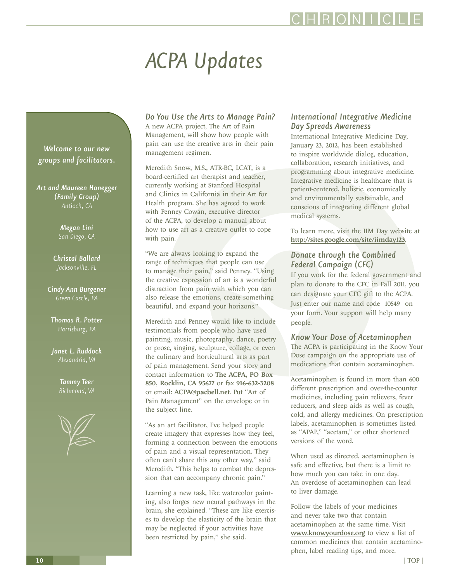# *ACPA Updates*

*Welcome to our new groups and facilitators.*

*Art and Maureen Honegger (Family Group) Antioch, CA*

> *Megan Lini San Diego, CA*

*Christal Ballard Jacksonville, FL*

*Cindy Ann Burgener Green Castle, PA*

*Thomas R. Potter Harrisburg, PA*

*Janet L. Ruddock*

*Tammy Teer*



*Do You Use the Arts to Manage Pain?*

A new ACPA project, The Art of Pain Management, will show how people with pain can use the creative arts in their pain management regimen.

Meredith Snow, M.S., ATR-BC, LCAT, is a board-certified art therapist and teacher, currently working at Stanford Hospital and Clinics in California in their Art for Health program. She has agreed to work with Penney Cowan, executive director of the ACPA, to develop a manual about how to use art as a creative outlet to cope with pain.

"We are always looking to expand the range of techniques that people can use to manage their pain," said Penney. "Using the creative expression of art is a wonderful distraction from pain with which you can also release the emotions, create something beautiful, and expand your horizons."

Meredith and Penney would like to include testimonials from people who have used painting, music, photography, dance, poetry or prose, singing, sculpture, collage, or even the culinary and horticultural arts as part of pain management. Send your story and contact information to The ACPA, PO Box 850, Rocklin, CA 95677 or fax 916-632-3208 or email: ACPA@pacbell.net. Put "Art of Pain Management" on the envelope or in the subject line.

"As an art facilitator, I've helped people create imagery that expresses how they feel, forming a connection between the emotions of pain and a visual representation. They often can't share this any other way," said Meredith. "This helps to combat the depression that can accompany chronic pain."

Learning a new task, like watercolor painting, also forges new neural pathways in the brain, she explained. "These are like exercises to develop the elasticity of the brain that may be neglected if your activities have been restricted by pain," she said.

#### *International Integrative Medicine Day Spreads Awareness*

HRONI I

International Integrative Medicine Day, January 23, 2012, has been established to inspire worldwide dialog, education, collaboration, research initiatives, and programming about integrative medicine. Integrative medicine is healthcare that is patient-centered, holistic, economically and environmentally sustainable, and conscious of integrating different global medical systems.

To learn more, visit the IIM Day website at http://sites.google.com/site/iimday123.

#### *Donate through the Combined Federal Campaign (CFC)*

If you work for the federal government and plan to donate to the CFC in Fall 2011, you can designate your CFC gift to the ACPA. Just enter our name and code—10549—on your form. Your support will help many people.

#### *Know Your Dose of Acetaminophen*

The ACPA is participating in the Know Your Dose campaign on the appropriate use of medications that contain acetaminophen.

Acetaminophen is found in more than 600 different prescription and over-the-counter medicines, including pain relievers, fever reducers, and sleep aids as well as cough, cold, and allergy medicines. On prescription labels, acetaminophen is sometimes listed as "APAP," "acetam," or other shortened versions of the word.

When used as directed, acetaminophen is safe and effective, but there is a limit to how much you can take in one day. An overdose of acetaminophen can lead to liver damage.

Follow the labels of your medicines and never take two that contain acetaminophen at the same time. Visit www.knowyourdose.org to view a list of common medicines that contain acetaminophen, label reading tips, and more.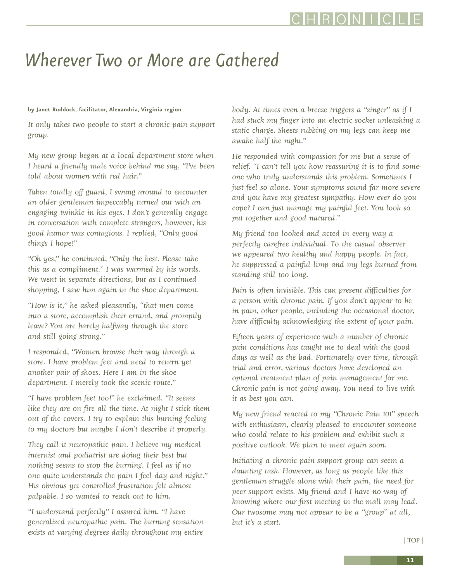## *Wherever Two or More are Gathered*

#### **by Janet Ruddock, facilitator, Alexandria, Virginia region**

*It only takes two people to start a chronic pain support group.* 

*My new group began at a local department store when I heard a friendly male voice behind me say, "I've been told about women with red hair."*

*Taken totally off guard, I swung around to encounter an older gentleman impeccably turned out with an engaging twinkle in his eyes. I don't generally engage in conversation with complete strangers, however, his good humor was contagious. I replied, "Only good things I hope!"*

*"Oh yes," he continued, "Only the best. Please take this as a compliment." I was warmed by his words. We went in separate directions, but as I continued shopping, I saw him again in the shoe department.*

*"How is it," he asked pleasantly, "that men come into a store, accomplish their errand, and promptly leave? You are barely halfway through the store and still going strong."*

*I responded, "Women browse their way through a store. I have problem feet and need to return yet another pair of shoes. Here I am in the shoe department. I merely took the scenic route."*

*"I have problem feet too!" he exclaimed. "It seems like they are on fire all the time. At night I stick them out of the covers. I try to explain this burning feeling to my doctors but maybe I don't describe it properly.*

*They call it neuropathic pain. I believe my medical internist and podiatrist are doing their best but nothing seems to stop the burning. I feel as if no one quite understands the pain I feel day and night." His obvious yet controlled frustration felt almost palpable. I so wanted to reach out to him.*

*"I understand perfectly" I assured him. "I have generalized neuropathic pain. The burning sensation exists at varying degrees daily throughout my entire*

*body. At times even a breeze triggers a "zinger" as if I had stuck my finger into an electric socket unleashing a static charge. Sheets rubbing on my legs can keep me awake half the night."*

*He responded with compassion for me but a sense of relief. "I can't tell you how reassuring it is to find someone who truly understands this problem. Sometimes I just feel so alone. Your symptoms sound far more severe and you have my greatest sympathy. How ever do you cope? I can just manage my painful feet. You look so put together and good natured."*

*My friend too looked and acted in every way a perfectly carefree individual. To the casual observer we appeared two healthy and happy people. In fact, he suppressed a painful limp and my legs burned from standing still too long.* 

*Pain is often invisible. This can present difficulties for a person with chronic pain. If you don't appear to be in pain, other people, including the occasional doctor, have difficulty acknowledging the extent of your pain.*

*Fifteen years of experience with a number of chronic pain conditions has taught me to deal with the good days as well as the bad. Fortunately over time, through trial and error, various doctors have developed an optimal treatment plan of pain management for me. Chronic pain is not going away. You need to live with it as best you can.*

*My new friend reacted to my "Chronic Pain 101" speech with enthusiasm, clearly pleased to encounter someone who could relate to his problem and exhibit such a positive outlook. We plan to meet again soon.*

*Initiating a chronic pain support group can seem a daunting task. However, as long as people like this gentleman struggle alone with their pain, the need for peer support exists. My friend and I have no way of knowing where our first meeting in the mall may lead. Our twosome may not appear to be a "group" at all, but it's a start.*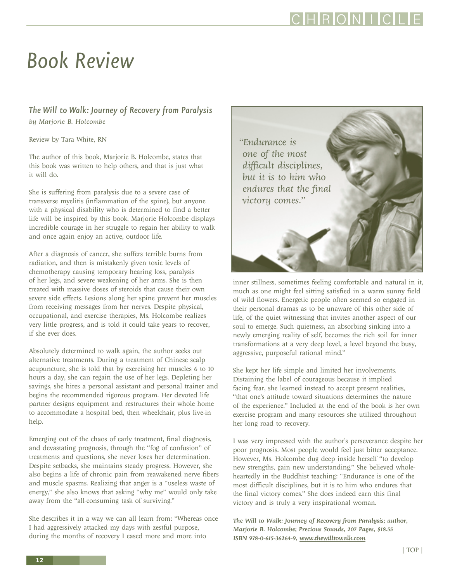## *Book Review*

#### *The Will to Walk: Journey of Recovery from Paralysis by Marjorie B. Holcombe*

Review by Tara White, RN

The author of this book, Marjorie B. Holcombe, states that this book was written to help others, and that is just what it will do.

She is suffering from paralysis due to a severe case of transverse myelitis (inflammation of the spine), but anyone with a physical disability who is determined to find a better life will be inspired by this book. Marjorie Holcombe displays incredible courage in her struggle to regain her ability to walk and once again enjoy an active, outdoor life.

After a diagnosis of cancer, she suffers terrible burns from radiation, and then is mistakenly given toxic levels of chemotherapy causing temporary hearing loss, paralysis of her legs, and severe weakening of her arms. She is then treated with massive doses of steroids that cause their own severe side effects. Lesions along her spine prevent her muscles from receiving messages from her nerves. Despite physical, occupational, and exercise therapies, Ms. Holcombe realizes very little progress, and is told it could take years to recover, if she ever does.

Absolutely determined to walk again, the author seeks out alternative treatments. During a treatment of Chinese scalp acupuncture, she is told that by exercising her muscles 6 to 10 hours a day, she can regain the use of her legs. Depleting her savings, she hires a personal assistant and personal trainer and begins the recommended rigorous program. Her devoted life partner designs equipment and restructures their whole home to accommodate a hospital bed, then wheelchair, plus live-in help.

Emerging out of the chaos of early treatment, final diagnosis, and devastating prognosis, through the "fog of confusion" of treatments and questions, she never loses her determination. Despite setbacks, she maintains steady progress. However, she also begins a life of chronic pain from reawakened nerve fibers and muscle spasms. Realizing that anger is a "useless waste of energy," she also knows that asking "why me" would only take away from the "all-consuming task of surviving."

She describes it in a way we can all learn from: "Whereas once I had aggressively attacked my days with zestful purpose, during the months of recovery I eased more and more into



inner stillness, sometimes feeling comfortable and natural in it, much as one might feel sitting satisfied in a warm sunny field of wild flowers. Energetic people often seemed so engaged in their personal dramas as to be unaware of this other side of life, of the quiet witnessing that invites another aspect of our soul to emerge. Such quietness, an absorbing sinking into a newly emerging reality of self, becomes the rich soil for inner transformations at a very deep level, a level beyond the busy, aggressive, purposeful rational mind."

She kept her life simple and limited her involvements. Distaining the label of courageous because it implied facing fear, she learned instead to accept present realities, "that one's attitude toward situations determines the nature of the experience." Included at the end of the book is her own exercise program and many resources she utilized throughout her long road to recovery.

I was very impressed with the author's perseverance despite her poor prognosis. Most people would feel just bitter acceptance. However, Ms. Holcombe dug deep inside herself "to develop new strengths, gain new understanding." She believed wholeheartedly in the Buddhist teaching: "Endurance is one of the most difficult disciplines, but it is to him who endures that the final victory comes." She does indeed earn this final victory and is truly a very inspirational woman.

*The Will to Walk: Journey of Recovery from Paralysis; author, Marjorie B. Holcombe; Precious Sounds, 207 Pages, \$18.55 ISBN 978-0-615-36264-9, www.thewilltowalk.com*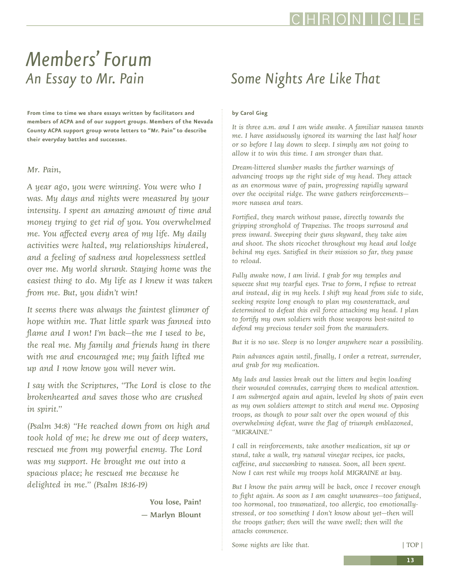## RONL

## *Members' Forum An Essay to Mr. Pain*

**From time to time we share essays written by facilitators and members of ACPA and of our support groups. Members of the Nevada County ACPA support group wrote letters to "Mr. Pain" to describe their everyday battles and successes.**

#### *Mr. Pain,*

were halı<br>ling of sa<br>My worla *A year ago, you were winning. You were who I was. My days and nights were measured by your intensity. I spent an amazing amount of time and money trying to get rid of you. You overwhelmed me. You affected every area of my life. My daily activities were halted, my relationships hindered, and a feeling of sadness and hopelessness settled over me. My world shrunk. Staying home was the easiest thing to do. My life as I knew it was taken from me. But, you didn't win!* 

*It seems there was always the faintest glimmer of hope within me. That little spark was fanned into flame and I won! I'm back—the me I used to be, the real me. My family and friends hung in there with me and encouraged me; my faith lifted me up and I now know you will never win.*

*I say with the Scriptures, "The Lord is close to the brokenhearted and saves those who are crushed in spirit."*

*(Psalm 34:8) "He reached down from on high and took hold of me; he drew me out of deep waters, rescued me from my powerful enemy. The Lord was my support. He brought me out into a spacious place; he rescued me because he delighted in me." (Psalm 18:16-19)*

> You lose, Pain! — Marlyn Blount

## *Some Nights Are Like That*

#### **by Carol Gieg**

*It is three a.m. and I am wide awake. A familiar nausea taunts me. I have assiduously ignored its warning the last half hour or so before I lay down to sleep. I simply am not going to allow it to win this time. I am stronger than that.*

*Dream-littered slumber masks the further warnings of advancing troops up the right side of my head. They attack as an enormous wave of pain, progressing rapidly upward over the occipital ridge. The wave gathers reinforcements more nausea and tears.* 

*Fortified, they march without pause, directly towards the gripping stronghold of Trapezius. The troops surround and press inward. Sweeping their guns skyward, they take aim and shoot. The shots ricochet throughout my head and lodge behind my eyes. Satisfied in their mission so far, they pause to reload.* 

*Fully awake now, I am livid. I grab for my temples and squeeze shut my tearful eyes. True to form, I refuse to retreat and instead, dig in my heels. I shift my head from side to side, seeking respite long enough to plan my counterattack, and determined to defeat this evil force attacking my head. I plan to fortify my own soldiers with those weapons best-suited to defend my precious tender soil from the marauders.*

*But it is no use. Sleep is no longer anywhere near a possibility.* 

*Pain advances again until, finally, I order a retreat, surrender, and grab for my medication.*

*My lads and lassies break out the litters and begin loading their wounded comrades, carrying them to medical attention. I am submerged again and again, leveled by shots of pain even as my own soldiers attempt to stitch and mend me. Opposing troops, as though to pour salt over the open wound of this overwhelming defeat, wave the flag of triumph emblazoned, "MIGRAINE."* 

*I call in reinforcements, take another medication, sit up or stand, take a walk, try natural vinegar recipes, ice packs, caffeine, and succumbing to nausea. Soon, all been spent. Now I can rest while my troops hold MIGRAINE at bay.* 

*But I know the pain army will be back, once I recover enough to fight again. As soon as I am caught unawares—too fatigued, too hormonal, too traumatized, too allergic, too emotionallystressed, or too something I don't know about yet—then will the troops gather; then will the wave swell; then will the attacks commence.*

*Some nights are like that.*  $|TOP|$